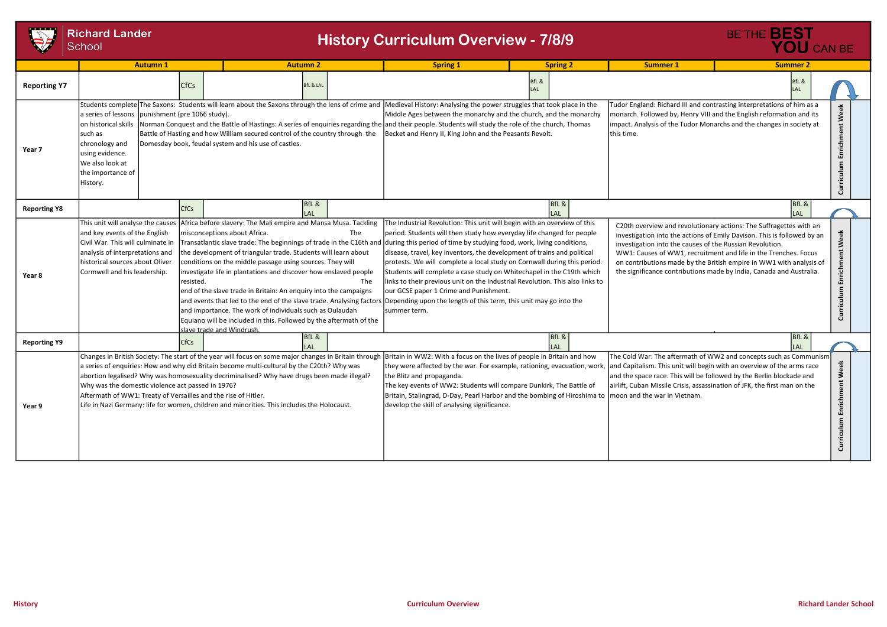## **Richard Lander**

|                     | <b>Richard Lander</b><br>School<br><b>Autumn1</b>                                                                                                                                                                                                                                                                                                                                                                                                                                                                                                                                               |                                          | <b>Autumn 2</b>                                                                                                                                                                                                                                                                                                                                                                                                                       |                      | <b>History Curriculum Overview - 7/8/9</b>                                                                                                                                                                                                                                                                                                                                                                                                                                                                                                                                                                                                                                                                                                                                                                          |                          | <b>Summer 1</b>                                                                                                                                                                                                                                                                                                                                                                                                            | BE THE <b>BEST</b> | YOU CAN BE          |                                      |
|---------------------|-------------------------------------------------------------------------------------------------------------------------------------------------------------------------------------------------------------------------------------------------------------------------------------------------------------------------------------------------------------------------------------------------------------------------------------------------------------------------------------------------------------------------------------------------------------------------------------------------|------------------------------------------|---------------------------------------------------------------------------------------------------------------------------------------------------------------------------------------------------------------------------------------------------------------------------------------------------------------------------------------------------------------------------------------------------------------------------------------|----------------------|---------------------------------------------------------------------------------------------------------------------------------------------------------------------------------------------------------------------------------------------------------------------------------------------------------------------------------------------------------------------------------------------------------------------------------------------------------------------------------------------------------------------------------------------------------------------------------------------------------------------------------------------------------------------------------------------------------------------------------------------------------------------------------------------------------------------|--------------------------|----------------------------------------------------------------------------------------------------------------------------------------------------------------------------------------------------------------------------------------------------------------------------------------------------------------------------------------------------------------------------------------------------------------------------|--------------------|---------------------|--------------------------------------|
|                     |                                                                                                                                                                                                                                                                                                                                                                                                                                                                                                                                                                                                 |                                          |                                                                                                                                                                                                                                                                                                                                                                                                                                       |                      | <b>Spring 1</b>                                                                                                                                                                                                                                                                                                                                                                                                                                                                                                                                                                                                                                                                                                                                                                                                     | <b>Spring 2</b><br>BfL & |                                                                                                                                                                                                                                                                                                                                                                                                                            | <b>Summer 2</b>    | BfL &               |                                      |
| <b>Reporting Y7</b> |                                                                                                                                                                                                                                                                                                                                                                                                                                                                                                                                                                                                 | <b>CfCs</b>                              |                                                                                                                                                                                                                                                                                                                                                                                                                                       | <b>BfL &amp; LAL</b> |                                                                                                                                                                                                                                                                                                                                                                                                                                                                                                                                                                                                                                                                                                                                                                                                                     | I AI                     |                                                                                                                                                                                                                                                                                                                                                                                                                            |                    |                     |                                      |
| Year 7              | a series of lessons   punishment (pre 1066 study).<br>on historical skills<br>Isuch as<br>chronology and<br>using evidence.<br>We also look at<br>the importance of<br>History.                                                                                                                                                                                                                                                                                                                                                                                                                 |                                          | Battle of Hasting and how William secured control of the country through the<br>Domesday book, feudal system and his use of castles.                                                                                                                                                                                                                                                                                                  |                      | Students complete The Saxons: Students will learn about the Saxons through the lens of crime and Medieval History: Analysing the power struggles that took place in the<br>Middle Ages between the monarchy and the church, and the monarchy<br>Norman Conquest and the Battle of Hastings: A series of enquiries regarding the and their people. Students will study the role of the church, Thomas<br>Becket and Henry II, King John and the Peasants Revolt.                                                                                                                                                                                                                                                                                                                                                     |                          | Tudor England: Richard III and contrasting interpretations of him as a<br>monarch. Followed by, Henry VIII and the English reformation and its<br>impact. Analysis of the Tudor Monarchs and the changes in society at<br>this time.                                                                                                                                                                                       |                    |                     | Week<br>Enrichment<br>culum<br>Curri |
| <b>Reporting Y8</b> |                                                                                                                                                                                                                                                                                                                                                                                                                                                                                                                                                                                                 | <b>CfCs</b>                              |                                                                                                                                                                                                                                                                                                                                                                                                                                       | BfL &                |                                                                                                                                                                                                                                                                                                                                                                                                                                                                                                                                                                                                                                                                                                                                                                                                                     | BfL &                    |                                                                                                                                                                                                                                                                                                                                                                                                                            |                    | BfL &<br>LAL        |                                      |
| Year 8              | This unit will analyse the causes Africa before slavery: The Mali empire and Mansa Musa. Tackling<br>and key events of the English<br>Civil War. This will culminate in<br>analysis of interpretations and<br>historical sources about Oliver<br>Cormwell and his leadership.                                                                                                                                                                                                                                                                                                                   | Iresisted.<br>Islave trade and Windrush. | misconceptions about Africa.<br>the development of triangular trade. Students will learn about<br>conditions on the middle passage using sources. They will<br>investigate life in plantations and discover how enslaved people<br>end of the slave trade in Britain: An enquiry into the campaigns<br>and importance. The work of individuals such as Oulaudah<br>Equiano will be included in this. Followed by the aftermath of the | The<br>The           | The Industrial Revolution: This unit will begin with an overview of this<br>period. Students will then study how everyday life changed for people<br>Transatlantic slave trade: The beginnings of trade in the C16th and during this period of time by studying food, work, living conditions,<br>disease, travel, key inventors, the development of trains and political<br>protests. We will complete a local study on Cornwall during this period.<br>Students will complete a case study on Whitechapel in the C19th which<br>links to their previous unit on the Industrial Revolution. This also links to<br>our GCSE paper 1 Crime and Punishment.<br>and events that led to the end of the slave trade. Analysing factors Depending upon the length of this term, this unit may go into the<br>summer term. |                          | C20th overview and revolutionary actions: The Suffragettes with an<br>investigation into the actions of Emily Davison. This is followed by an<br>investigation into the causes of the Russian Revolution.<br>WW1: Causes of WW1, recruitment and life in the Trenches. Focus<br>on contributions made by the British empire in WW1 with analysis of<br>the significance contributions made by India, Canada and Australia. |                    |                     | Week<br>Enrichment<br>Curriculum     |
| <b>Reporting Y9</b> |                                                                                                                                                                                                                                                                                                                                                                                                                                                                                                                                                                                                 | <b>CfCs</b>                              | I AI                                                                                                                                                                                                                                                                                                                                                                                                                                  | BfL &                |                                                                                                                                                                                                                                                                                                                                                                                                                                                                                                                                                                                                                                                                                                                                                                                                                     | BfL &<br>LAL             |                                                                                                                                                                                                                                                                                                                                                                                                                            |                    | BfL &<br><b>LAL</b> |                                      |
| Year 9              | Changes in British Society: The start of the year will focus on some major changes in Britain through Britain in WW2: With a focus on the lives of people in Britain and how<br>a series of enquiries: How and why did Britain become multi-cultural by the C20th? Why was<br>abortion legalised? Why was homosexuality decriminalised? Why have drugs been made illegal?<br>Why was the domestic violence act passed in 1976?<br>Aftermath of WW1: Treaty of Versailles and the rise of Hitler.<br>Life in Nazi Germany: life for women, children and minorities. This includes the Holocaust. |                                          |                                                                                                                                                                                                                                                                                                                                                                                                                                       |                      | they were affected by the war. For example, rationing, evacuation, work, and Capitalism. This unit will begin with an overview of the arms race<br>the Blitz and propaganda.<br>The key events of WW2: Students will compare Dunkirk, The Battle of<br>Britain, Stalingrad, D-Day, Pearl Harbor and the bombing of Hiroshima to   moon and the war in Vietnam.<br>develop the skill of analysing significance.                                                                                                                                                                                                                                                                                                                                                                                                      |                          | The Cold War: The aftermath of WW2 and concepts such as Communism<br>and the space race. This will be followed by the Berlin blockade and<br>airlift, Cuban Missile Crisis, assassination of JFK, the first man on the                                                                                                                                                                                                     |                    |                     | Week<br>Enrichment<br>Curriculum     |